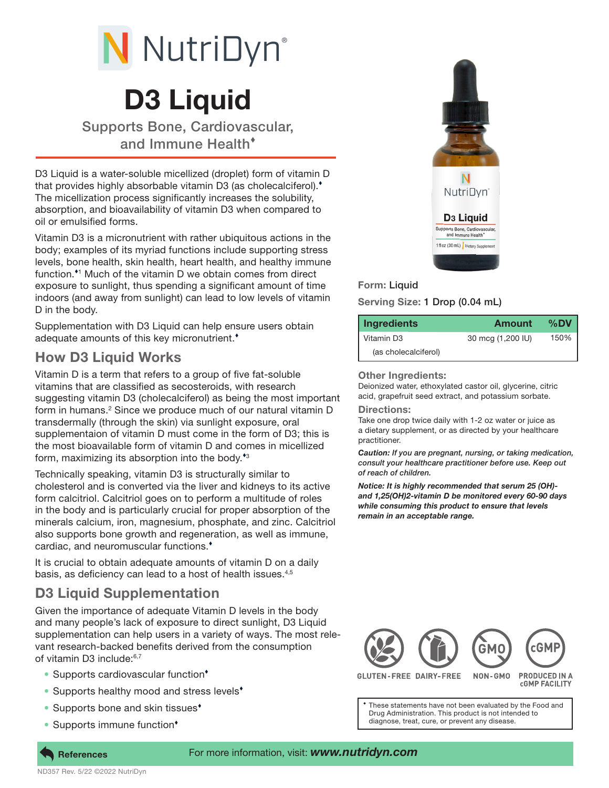

# D3 Liquid

Supports Bone, Cardiovascular, and Immune Health

D3 Liquid is a water-soluble micellized (droplet) form of vitamin D that provides highly absorbable vitamin D3 (as cholecalciferol). The micellization process significantly increases the solubility, absorption, and bioavailability of vitamin D3 when compared to oil or emulsified forms.

Vitamin D3 is a micronutrient with rather ubiquitous actions in the body; examples of its myriad functions include supporting stress levels, bone health, skin health, heart health, and healthy immune function.<sup>\*1</sup> Much of the vitamin D we obtain comes from direct exposure to sunlight, thus spending a significant amount of time indoors (and away from sunlight) can lead to low levels of vitamin D in the body.

Supplementation with D3 Liquid can help ensure users obtain adequate amounts of this key micronutrient.

## How D3 Liquid Works

Vitamin D is a term that refers to a group of five fat-soluble vitamins that are classified as secosteroids, with research suggesting vitamin D3 (cholecalciferol) as being the most important form in humans.<sup>2</sup> Since we produce much of our natural vitamin D transdermally (through the skin) via sunlight exposure, oral supplementaion of vitamin D must come in the form of D3; this is the most bioavailable form of vitamin D and comes in micellized form, maximizing its absorption into the body.<sup>43</sup>

Technically speaking, vitamin D3 is structurally similar to cholesterol and is converted via the liver and kidneys to its active form calcitriol. Calcitriol goes on to perform a multitude of roles in the body and is particularly crucial for proper absorption of the minerals calcium, iron, magnesium, phosphate, and zinc. Calcitriol also supports bone growth and regeneration, as well as immune, cardiac, and neuromuscular functions.

It is crucial to obtain adequate amounts of vitamin D on a daily basis, as deficiency can lead to a host of health issues.<sup>4,5</sup>

## D3 Liquid Supplementation

Given the importance of adequate Vitamin D levels in the body and many people's lack of exposure to direct sunlight, D3 Liquid supplementation can help users in a variety of ways. The most relevant research-backed benefits derived from the consumption of vitamin D3 include:<sup>6,7</sup>

- Supports cardiovascular function<sup>\*</sup>
- Supports healthy mood and stress levels<sup>\*</sup>
- Supports bone and skin tissues<sup>\*</sup>
- Supports immune function<sup>\*</sup>



### Form: Liquid

Serving Size: 1 Drop (0.04 mL)

| <b>Ingredients</b>   | Amount            | %DV  |
|----------------------|-------------------|------|
| Vitamin D3           | 30 mcg (1,200 IU) | 150% |
| (as cholecalciferol) |                   |      |

#### **Other Ingredients:**

Deionized water, ethoxylated castor oil, glycerine, citric acid, grapefruit seed extract, and potassium sorbate.

Directions:

Take one drop twice daily with 1-2 oz water or juice as a dietary supplement, or as directed by your healthcare practitioner.

*Caution: If you are pregnant, nursing, or taking medication, consult your healthcare practitioner before use. Keep out of reach of children.* 

*Notice: It is highly recommended that serum 25 (OH) and 1,25(OH)2-vitamin D be monitored every 60-90 days while consuming this product to ensure that levels remain in an acceptable range.*



**GLUTEN-FREE DAIRY-FREE** 

**CGMP FACILITY** 

These statements have not been evaluated by the Food and Drug Administration. This product is not intended to diagnose, treat, cure, or prevent any disease.

**References**